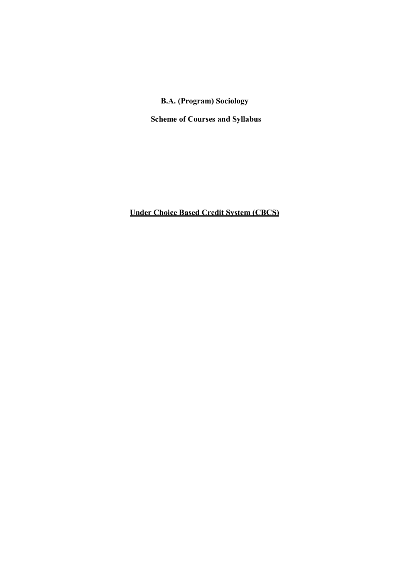## B.A. (Program) Sociology

Scheme of Courses and Syllabus

Under Choice Based Credit System (CBCS)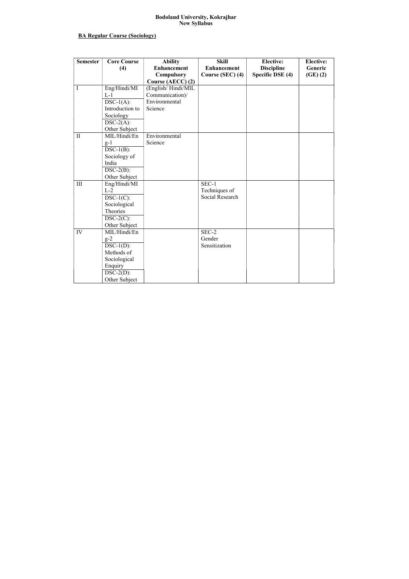#### Bodoland University, Kokrajhar New Syllabus

## BA Regular Course (Sociology)

| <b>Semester</b> | <b>Core Course</b> | <b>Ability</b>     | <b>Skill</b>       | <b>Elective:</b>  | <b>Elective:</b> |
|-----------------|--------------------|--------------------|--------------------|-------------------|------------------|
|                 | (4)                | <b>Enhancement</b> | <b>Enhancement</b> | <b>Discipline</b> | Generic          |
|                 |                    | <b>Compulsory</b>  | Course (SEC) (4)   | Specific DSE (4)  | (GE)(2)          |
|                 |                    | Course (AECC) (2)  |                    |                   |                  |
| I               | Eng/Hindi/MI       | (English/Hindi/MIL |                    |                   |                  |
|                 | $L-1$              | Communication)/    |                    |                   |                  |
|                 | $DSC-1(A)$ :       | Environmental      |                    |                   |                  |
|                 | Introduction to    | Science            |                    |                   |                  |
|                 | Sociology          |                    |                    |                   |                  |
|                 | $DSC-2(A)$ :       |                    |                    |                   |                  |
|                 | Other Subject      |                    |                    |                   |                  |
| $\mathbf{I}$    | MIL/Hindi/En       | Environmental      |                    |                   |                  |
|                 | $g-1$              | Science            |                    |                   |                  |
|                 | $DSC-1(B)$ :       |                    |                    |                   |                  |
|                 | Sociology of       |                    |                    |                   |                  |
|                 | India              |                    |                    |                   |                  |
|                 | $DSC-2(B)$ :       |                    |                    |                   |                  |
|                 | Other Subject      |                    |                    |                   |                  |
| III             | Eng/Hindi/MI       |                    | $SEC-1$            |                   |                  |
|                 | $L-2$              |                    | Techniques of      |                   |                  |
|                 | $DSC-1(C)$ :       |                    | Social Research    |                   |                  |
|                 | Sociological       |                    |                    |                   |                  |
|                 | Theories           |                    |                    |                   |                  |
|                 | $DSC-2(C)$ :       |                    |                    |                   |                  |
|                 | Other Subject      |                    |                    |                   |                  |
| IV              | MIL/Hindi/En       |                    | SEC-2              |                   |                  |
|                 | $g-2$              |                    | Gender             |                   |                  |
|                 | $DSC-1(D)$ :       |                    | Sensitization      |                   |                  |
|                 | Methods of         |                    |                    |                   |                  |
|                 | Sociological       |                    |                    |                   |                  |
|                 | Enquiry            |                    |                    |                   |                  |
|                 | $DSC-2(D)$ :       |                    |                    |                   |                  |
|                 | Other Subject      |                    |                    |                   |                  |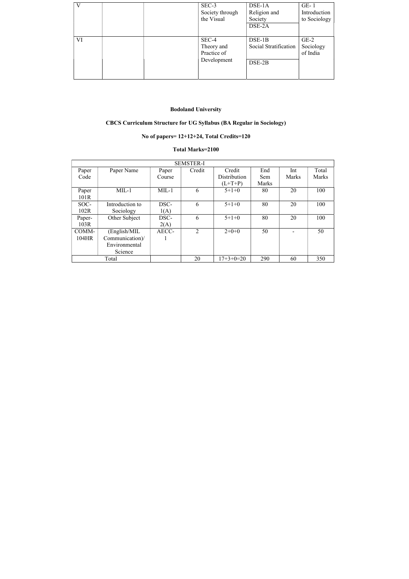| V  |  | SEC-3<br>Society through<br>the Visual            | $DSE-1A$<br>Religion and<br>Society<br>DSE-2A | $GE-1$<br>Introduction<br>to Sociology |
|----|--|---------------------------------------------------|-----------------------------------------------|----------------------------------------|
| VI |  | SEC-4<br>Theory and<br>Practice of<br>Development | $DSE-1B$<br>Social Stratification<br>DSE-2B   | $GE-2$<br>Sociology<br>of India        |

# Bodoland University

# CBCS Curriculum Structure for UG Syllabus (BA Regular in Sociology)

# No of papers= 12+12+24, Total Credits=120

## Total Marks=2100

| <b>SEMSTER-I</b> |                 |         |                |              |       |              |              |  |
|------------------|-----------------|---------|----------------|--------------|-------|--------------|--------------|--|
| Paper            | Paper Name      | Paper   | Credit         | Credit       | End   | Int          | Total        |  |
| Code             |                 | Course  |                | Distribution | Sem   | <b>Marks</b> | <b>Marks</b> |  |
|                  |                 |         |                | $(L+T+P)$    | Marks |              |              |  |
| Paper            | $MIL-1$         | $MIL-1$ | 6              | $5+1+0$      | 80    | 20           | 100          |  |
| 101R             |                 |         |                |              |       |              |              |  |
| SOC-             | Introduction to | DSC-    | 6              | $5+1+0$      | 80    | 20           | 100          |  |
| 102R             | Sociology       | 1(A)    |                |              |       |              |              |  |
| Paper-           | Other Subject   | DSC-    | 6              | $5+1+0$      | 80    | 20           | 100          |  |
| 103R             |                 | 2(A)    |                |              |       |              |              |  |
| COMM-            | (English/MIL    | AECC-   | $\overline{2}$ | $2+0+0$      | 50    |              | 50           |  |
| 104HR            | Communication)/ |         |                |              |       |              |              |  |
|                  | Environmental   |         |                |              |       |              |              |  |
|                  | Science         |         |                |              |       |              |              |  |
|                  | Total           |         | 20             | $17+3+0=20$  | 290   | 60           | 350          |  |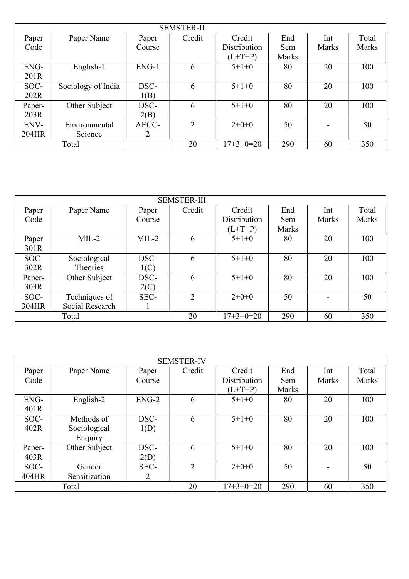|        | <b>SEMSTER-II</b>  |         |        |              |              |              |       |  |  |  |
|--------|--------------------|---------|--------|--------------|--------------|--------------|-------|--|--|--|
| Paper  | Paper Name         | Paper   | Credit | Credit       | End          | Int          | Total |  |  |  |
| Code   |                    | Course  |        | Distribution | Sem          | <b>Marks</b> | Marks |  |  |  |
|        |                    |         |        | $(L+T+P)$    | <b>Marks</b> |              |       |  |  |  |
| ENG-   | English-1          | $ENG-1$ | 6      | $5+1+0$      | 80           | 20           | 100   |  |  |  |
| 201R   |                    |         |        |              |              |              |       |  |  |  |
| SOC-   | Sociology of India | DSC-    | 6      | $5+1+0$      | 80           | 20           | 100   |  |  |  |
| 202R   |                    | 1(B)    |        |              |              |              |       |  |  |  |
| Paper- | Other Subject      | DSC-    | 6      | $5+1+0$      | 80           | 20           | 100   |  |  |  |
| 203R   |                    | 2(B)    |        |              |              |              |       |  |  |  |
| ENV-   | Environmental      | AECC-   | 2      | $2+0+0$      | 50           |              | 50    |  |  |  |
| 204HR  | Science            | 2       |        |              |              |              |       |  |  |  |
|        | Total              |         | 20     | $17+3+0=20$  | 290          | 60           | 350   |  |  |  |

| <b>SEMSTER-III</b> |                 |         |        |              |       |       |       |  |
|--------------------|-----------------|---------|--------|--------------|-------|-------|-------|--|
| Paper              | Paper Name      | Paper   | Credit | Credit       | End   | Int   | Total |  |
| Code               |                 | Course  |        | Distribution | Sem   | Marks | Marks |  |
|                    |                 |         |        | $(L+T+P)$    | Marks |       |       |  |
| Paper              | $MIL-2$         | $MIL-2$ | 6      | $5+1+0$      | 80    | 20    | 100   |  |
| 301R               |                 |         |        |              |       |       |       |  |
| SOC-               | Sociological    | DSC-    | 6      | $5+1+0$      | 80    | 20    | 100   |  |
| 302R               | Theories        | 1(C)    |        |              |       |       |       |  |
| Paper-             | Other Subject   | DSC-    | 6      | $5+1+0$      | 80    | 20    | 100   |  |
| 303R               |                 | 2(C)    |        |              |       |       |       |  |
| SOC-               | Techniques of   | SEC-    | 2      | $2+0+0$      | 50    |       | 50    |  |
| 304HR              | Social Research |         |        |              |       |       |       |  |
|                    | Total           |         | 20     | $17+3+0=20$  | 290   | 60    | 350   |  |

|        | <b>SEMSTER-IV</b> |                |                |              |       |       |       |  |  |
|--------|-------------------|----------------|----------------|--------------|-------|-------|-------|--|--|
| Paper  | Paper Name        | Paper          | Credit         | Credit       | End   | Int   | Total |  |  |
| Code   |                   | Course         |                | Distribution | Sem   | Marks | Marks |  |  |
|        |                   |                |                | $(L+T+P)$    | Marks |       |       |  |  |
| ENG-   | English-2         | $ENG-2$        | 6              | $5+1+0$      | 80    | 20    | 100   |  |  |
| 401R   |                   |                |                |              |       |       |       |  |  |
| SOC-   | Methods of        | DSC-           | 6              | $5+1+0$      | 80    | 20    | 100   |  |  |
| 402R   | Sociological      | 1(D)           |                |              |       |       |       |  |  |
|        | Enquiry           |                |                |              |       |       |       |  |  |
| Paper- | Other Subject     | DSC-           | 6              | $5+1+0$      | 80    | 20    | 100   |  |  |
| 403R   |                   | 2(D)           |                |              |       |       |       |  |  |
| SOC-   | Gender            | SEC-           | $\overline{2}$ | $2+0+0$      | 50    |       | 50    |  |  |
| 404HR  | Sensitization     | $\overline{2}$ |                |              |       |       |       |  |  |
|        | Total             |                | 20             | $17+3+0=20$  | 290   | 60    | 350   |  |  |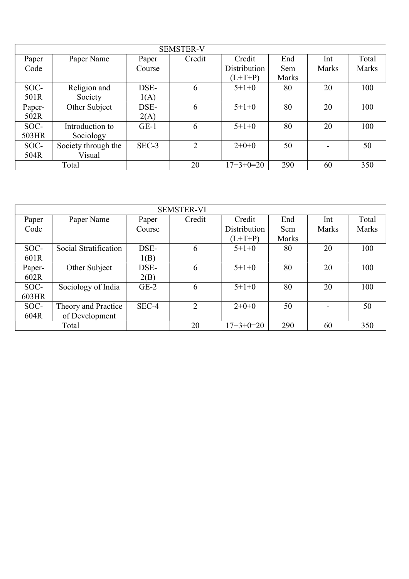| <b>SEMSTER-V</b> |                     |         |                |              |       |              |              |  |
|------------------|---------------------|---------|----------------|--------------|-------|--------------|--------------|--|
| Paper            | Paper Name          | Paper   | Credit         | Credit       | End   | Int          | Total        |  |
| Code             |                     | Course  |                | Distribution | Sem   | <b>Marks</b> | <b>Marks</b> |  |
|                  |                     |         |                | $(L+T+P)$    | Marks |              |              |  |
| SOC-             | Religion and        | DSE-    | 6              | $5+1+0$      | 80    | 20           | 100          |  |
| 501R             | Society             | 1(A)    |                |              |       |              |              |  |
| Paper-           | Other Subject       | DSE-    | 6              | $5+1+0$      | 80    | 20           | 100          |  |
| 502R             |                     | 2(A)    |                |              |       |              |              |  |
| SOC-             | Introduction to     | $GE-1$  | 6              | $5+1+0$      | 80    | 20           | 100          |  |
| 503HR            | Sociology           |         |                |              |       |              |              |  |
| SOC-             | Society through the | $SEC-3$ | $\overline{2}$ | $2+0+0$      | 50    |              | 50           |  |
| 504R             | Visual              |         |                |              |       |              |              |  |
|                  | Total               |         | 20             | $17+3+0=20$  | 290   | 60           | 350          |  |

| <b>SEMSTER-VI</b> |                       |        |        |              |              |              |              |  |  |
|-------------------|-----------------------|--------|--------|--------------|--------------|--------------|--------------|--|--|
| Paper             | Paper Name            | Paper  | Credit | Credit       | End          | Int          | Total        |  |  |
| Code              |                       | Course |        | Distribution | Sem          | <b>Marks</b> | <b>Marks</b> |  |  |
|                   |                       |        |        | $(L+T+P)$    | <b>Marks</b> |              |              |  |  |
| SOC-              | Social Stratification | DSE-   | 6      | $5+1+0$      | 80           | 20           | 100          |  |  |
| 601R              |                       | 1(B)   |        |              |              |              |              |  |  |
| Paper-            | Other Subject         | DSE-   | 6      | $5+1+0$      | 80           | 20           | 100          |  |  |
| 602R              |                       | 2(B)   |        |              |              |              |              |  |  |
| SOC-              | Sociology of India    | $GE-2$ | 6      | $5+1+0$      | 80           | 20           | 100          |  |  |
| 603HR             |                       |        |        |              |              |              |              |  |  |
| SOC-              | Theory and Practice   | SEC-4  | 2      | $2+0+0$      | 50           |              | 50           |  |  |
| 604R              | of Development        |        |        |              |              |              |              |  |  |
|                   | Total                 |        | 20     | $17+3+0=20$  | 290          | 60           | 350          |  |  |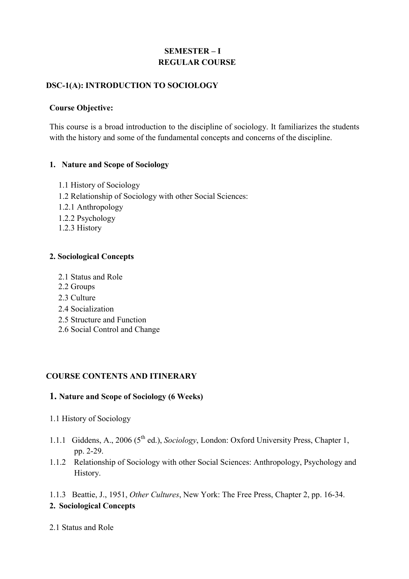# SEMESTER – I REGULAR COURSE

## DSC-1(A): INTRODUCTION TO SOCIOLOGY

### Course Objective:

This course is a broad introduction to the discipline of sociology. It familiarizes the students with the history and some of the fundamental concepts and concerns of the discipline.

### 1. Nature and Scope of Sociology

- 1.1 History of Sociology
- 1.2 Relationship of Sociology with other Social Sciences:
- 1.2.1 Anthropology
- 1.2.2 Psychology
- 1.2.3 History

### 2. Sociological Concepts

- 2.1 Status and Role
- 2.2 Groups
- 2.3 Culture
- 2.4 Socialization
- 2.5 Structure and Function
- 2.6 Social Control and Change

## COURSE CONTENTS AND ITINERARY

### 1. Nature and Scope of Sociology (6 Weeks)

- 1.1 History of Sociology
- 1.1.1 Giddens, A., 2006 (5<sup>th</sup> ed.), Sociology, London: Oxford University Press, Chapter 1, pp. 2-29.
- 1.1.2 Relationship of Sociology with other Social Sciences: Anthropology, Psychology and History.

1.1.3 Beattie, J., 1951, Other Cultures, New York: The Free Press, Chapter 2, pp. 16-34. 2. Sociological Concepts

2.1 Status and Role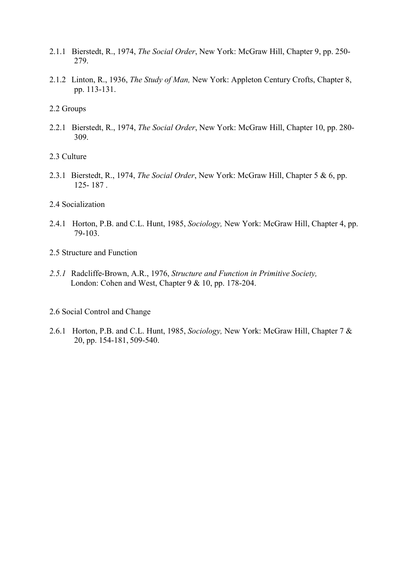- 2.1.1 Bierstedt, R., 1974, The Social Order, New York: McGraw Hill, Chapter 9, pp. 250- 279.
- 2.1.2 Linton, R., 1936, The Study of Man, New York: Appleton Century Crofts, Chapter 8, pp. 113-131.
- 2.2 Groups
- 2.2.1 Bierstedt, R., 1974, The Social Order, New York: McGraw Hill, Chapter 10, pp. 280-309.
- 2.3 Culture
- 2.3.1 Bierstedt, R., 1974, The Social Order, New York: McGraw Hill, Chapter 5 & 6, pp. 125- 187 .
- 2.4 Socialization
- 2.4.1 Horton, P.B. and C.L. Hunt, 1985, Sociology, New York: McGraw Hill, Chapter 4, pp. 79-103.
- 2.5 Structure and Function
- 2.5.1 Radcliffe-Brown, A.R., 1976, Structure and Function in Primitive Society, London: Cohen and West, Chapter 9 & 10, pp. 178-204.
- 2.6 Social Control and Change
- 2.6.1 Horton, P.B. and C.L. Hunt, 1985, Sociology, New York: McGraw Hill, Chapter 7 & 20, pp. 154-181, 509-540.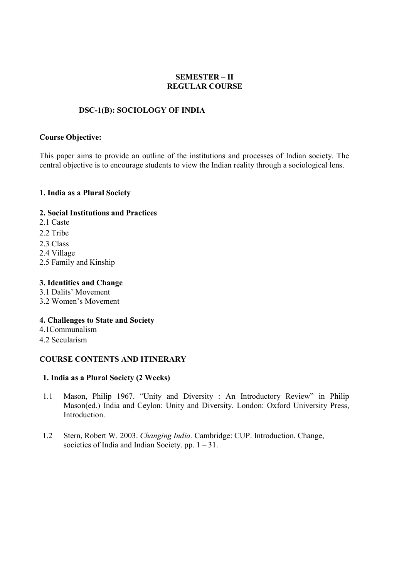### SEMESTER – II REGULAR COURSE

### DSC-1(B): SOCIOLOGY OF INDIA

#### Course Objective:

This paper aims to provide an outline of the institutions and processes of Indian society. The central objective is to encourage students to view the Indian reality through a sociological lens.

#### 1. India as a Plural Society

### 2. Social Institutions and Practices

- 2.1 Caste
- 2.2 Tribe
- 2.3 Class
- 2.4 Village
- 2.5 Family and Kinship

### 3. Identities and Change

- 3.1 Dalits' Movement
- 3.2 Women's Movement

### 4. Challenges to State and Society

- 4.1Communalism
- 4.2 Secularism

### COURSE CONTENTS AND ITINERARY

### 1. India as a Plural Society (2 Weeks)

- 1.1 Mason, Philip 1967. "Unity and Diversity : An Introductory Review" in Philip Mason(ed.) India and Ceylon: Unity and Diversity. London: Oxford University Press, Introduction.
- 1.2 Stern, Robert W. 2003. Changing India. Cambridge: CUP. Introduction. Change, societies of India and Indian Society. pp.  $1 - 31$ .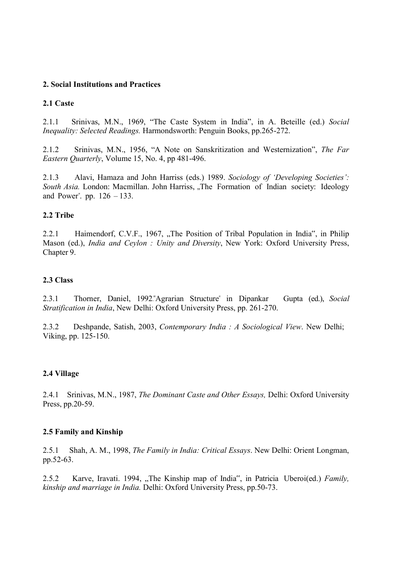#### 2. Social Institutions and Practices

#### 2.1 Caste

2.1.1 Srinivas, M.N., 1969, "The Caste System in India", in A. Beteille (ed.) Social Inequality: Selected Readings. Harmondsworth: Penguin Books, pp.265-272.

2.1.2 Srinivas, M.N., 1956, "A Note on Sanskritization and Westernization", The Far Eastern Quarterly, Volume 15, No. 4, pp 481-496.

2.1.3 Alavi, Hamaza and John Harriss (eds.) 1989. Sociology of 'Developing Societies': South Asia. London: Macmillan. John Harriss, "The Formation of Indian society: Ideology and Power". pp. 126 – 133.

### 2.2 Tribe

2.2.1 Haimendorf, C.V.F., 1967, "The Position of Tribal Population in India", in Philip Mason (ed.), India and Ceylon : Unity and Diversity, New York: Oxford University Press, Chapter 9.

#### 2.3 Class

2.3.1 Thorner, Daniel, 1992."Agrarian Structure" in Dipankar Gupta (ed.), Social Stratification in India, New Delhi: Oxford University Press, pp. 261-270.

2.3.2 Deshpande, Satish, 2003, Contemporary India : A Sociological View. New Delhi; Viking, pp. 125-150.

#### 2.4 Village

2.4.1 Srinivas, M.N., 1987, The Dominant Caste and Other Essays, Delhi: Oxford University Press, pp.20-59.

#### 2.5 Family and Kinship

2.5.1 Shah, A. M., 1998, The Family in India: Critical Essays. New Delhi: Orient Longman, pp.52-63.

2.5.2 Karve, Iravati. 1994, "The Kinship map of India", in Patricia Uberoi(ed.) Family, kinship and marriage in India. Delhi: Oxford University Press, pp.50-73.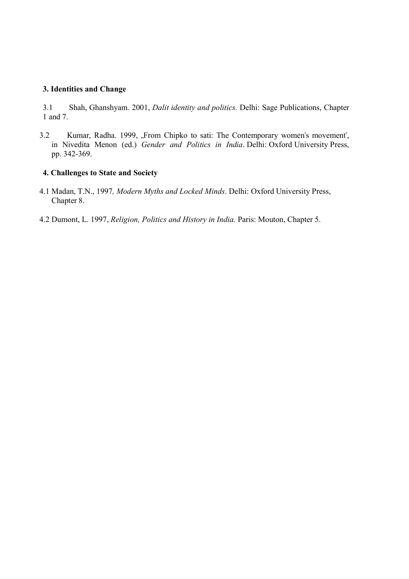#### 3. Identities and Change

3.1 Shah, Ghanshyam. 2001, Dalit identity and politics. Delhi: Sage Publications, Chapter 1 and 7.

3.2 Kumar, Radha. 1999, "From Chipko to sati: The Contemporary women's movement", in Nivedita Menon (ed.) Gender and Politics in India. Delhi: Oxford University Press, pp. 342-369.

#### 4. Challenges to State and Society

- 4.1 Madan, T.N., 1997, Modern Myths and Locked Minds. Delhi: Oxford University Press, Chapter 8.
- 4.2 Dumont, L. 1997, Religion, Politics and History in India. Paris: Mouton, Chapter 5.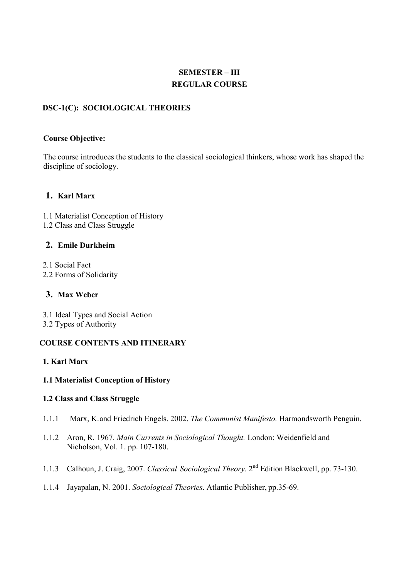# SEMESTER – III REGULAR COURSE

## DSC-1(C): SOCIOLOGICAL THEORIES

#### Course Objective:

The course introduces the students to the classical sociological thinkers, whose work has shaped the discipline of sociology.

### 1. Karl Marx

1.1 Materialist Conception of History 1.2 Class and Class Struggle

#### 2. Emile Durkheim

2.1 Social Fact 2.2 Forms of Solidarity

### 3. Max Weber

3.1 Ideal Types and Social Action 3.2 Types of Authority

### COURSE CONTENTS AND ITINERARY

#### 1. Karl Marx

#### 1.1 Materialist Conception of History

#### 1.2 Class and Class Struggle

- 1.1.1 Marx, K. and Friedrich Engels. 2002. The Communist Manifesto. Harmondsworth Penguin.
- 1.1.2 Aron, R. 1967. Main Currents in Sociological Thought. London: Weidenfield and Nicholson, Vol. 1. pp. 107-180.
- 1.1.3 Calhoun, J. Craig, 2007. Classical Sociological Theory. 2<sup>nd</sup> Edition Blackwell, pp. 73-130.
- 1.1.4 Jayapalan, N. 2001. Sociological Theories. Atlantic Publisher, pp.35-69.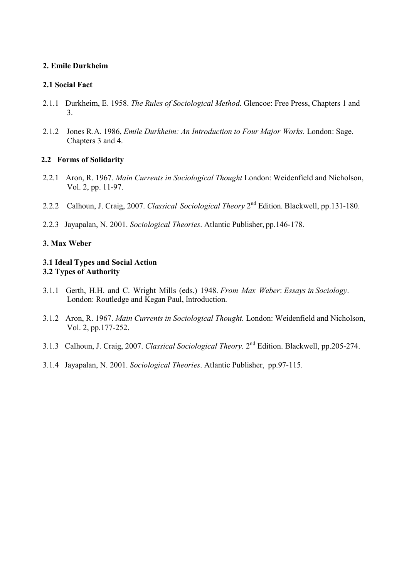### 2. Emile Durkheim

### 2.1 Social Fact

- 2.1.1 Durkheim, E. 1958. The Rules of Sociological Method. Glencoe: Free Press, Chapters 1 and 3.
- 2.1.2 Jones R.A. 1986, Emile Durkheim: An Introduction to Four Major Works. London: Sage. Chapters 3 and 4.

### 2.2 Forms of Solidarity

- 2.2.1 Aron, R. 1967. Main Currents in Sociological Thought London: Weidenfield and Nicholson, Vol. 2, pp. 11-97.
- 2.2.2 Calhoun, J. Craig, 2007. Classical Sociological Theory 2<sup>nd</sup> Edition. Blackwell, pp.131-180.
- 2.2.3 Jayapalan, N. 2001. Sociological Theories. Atlantic Publisher, pp.146-178.

### 3. Max Weber

### 3.1 Ideal Types and Social Action 3.2 Types of Authority

- 3.1.1 Gerth, H.H. and C. Wright Mills (eds.) 1948. From Max Weber: Essays in Sociology. London: Routledge and Kegan Paul, Introduction.
- 3.1.2 Aron, R. 1967. Main Currents in Sociological Thought. London: Weidenfield and Nicholson, Vol. 2, pp.177-252.
- 3.1.3 Calhoun, J. Craig, 2007. Classical Sociological Theory. 2<sup>nd</sup> Edition. Blackwell, pp.205-274.
- 3.1.4 Jayapalan, N. 2001. Sociological Theories. Atlantic Publisher, pp.97-115.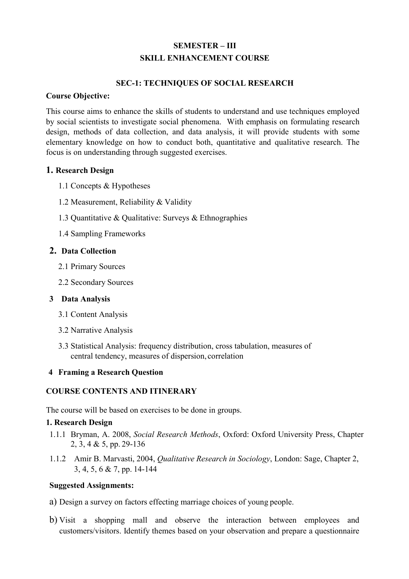# SEMESTER – III SKILL ENHANCEMENT COURSE

### SEC-1: TECHNIQUES OF SOCIAL RESEARCH

#### Course Objective:

This course aims to enhance the skills of students to understand and use techniques employed by social scientists to investigate social phenomena. With emphasis on formulating research design, methods of data collection, and data analysis, it will provide students with some elementary knowledge on how to conduct both, quantitative and qualitative research. The focus is on understanding through suggested exercises.

### 1. Research Design

- 1.1 Concepts & Hypotheses
- 1.2 Measurement, Reliability & Validity
- 1.3 Quantitative & Qualitative: Surveys & Ethnographies
- 1.4 Sampling Frameworks

### 2. Data Collection

- 2.1 Primary Sources
- 2.2 Secondary Sources

#### 3 Data Analysis

- 3.1 Content Analysis
- 3.2 Narrative Analysis
- 3.3 Statistical Analysis: frequency distribution, cross tabulation, measures of central tendency, measures of dispersion, correlation

### 4 Framing a Research Question

### COURSE CONTENTS AND ITINERARY

The course will be based on exercises to be done in groups.

#### 1. Research Design

- 1.1.1 Bryman, A. 2008, Social Research Methods, Oxford: Oxford University Press, Chapter 2, 3, 4 & 5, pp. 29-136
- 1.1.2 Amir B. Marvasti, 2004, Qualitative Research in Sociology, London: Sage, Chapter 2, 3, 4, 5, 6 & 7, pp. 14-144

### Suggested Assignments:

- a) Design a survey on factors effecting marriage choices of young people.
- b) Visit a shopping mall and observe the interaction between employees and customers/visitors. Identify themes based on your observation and prepare a questionnaire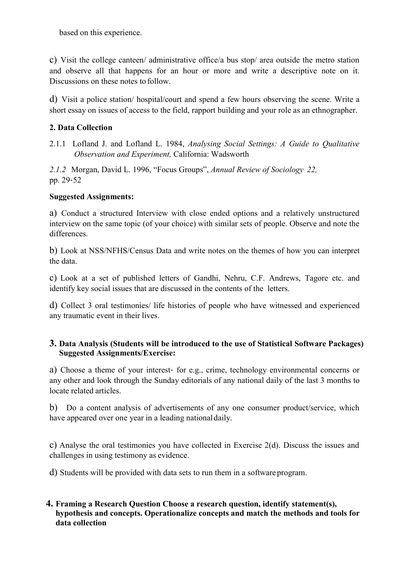based on this experience.

c) Visit the college canteen/ administrative office/a bus stop/ area outside the metro station and observe all that happens for an hour or more and write a descriptive note on it. Discussions on these notes to follow.

d) Visit a police station/ hospital/court and spend a few hours observing the scene. Write a short essay on issues of access to the field, rapport building and your role as an ethnographer.

### 2. Data Collection

2.1.1 Lofland J. and Lofland L. 1984, Analysing Social Settings: A Guide to Qualitative Observation and Experiment, California: Wadsworth

2.1.2 Morgan, David L. 1996, "Focus Groups", Annual Review of Sociology 22, pp. 29‐52

### Suggested Assignments:

a) Conduct a structured Interview with close ended options and a relatively unstructured interview on the same topic (of your choice) with similar sets of people. Observe and note the differences.

b) Look at NSS/NFHS/Census Data and write notes on the themes of how you can interpret the data.

c) Look at a set of published letters of Gandhi, Nehru, C.F. Andrews, Tagore etc. and identify key social issues that are discussed in the contents of the letters.

d) Collect 3 oral testimonies/ life histories of people who have witnessed and experienced any traumatic event in their lives.

### 3. Data Analysis (Students will be introduced to the use of Statistical Software Packages) Suggested Assignments/Exercise:

a) Choose a theme of your interest‐ for e.g., crime, technology environmental concerns or any other and look through the Sunday editorials of any national daily of the last 3 months to locate related articles.

b) Do a content analysis of advertisements of any one consumer product/service, which have appeared over one year in a leading national daily.

c) Analyse the oral testimonies you have collected in Exercise 2(d). Discuss the issues and challenges in using testimony as evidence.

d) Students will be provided with data sets to run them in a software program.

### 4. Framing a Research Question Choose a research question, identify statement(s), hypothesis and concepts. Operationalize concepts and match the methods and tools for data collection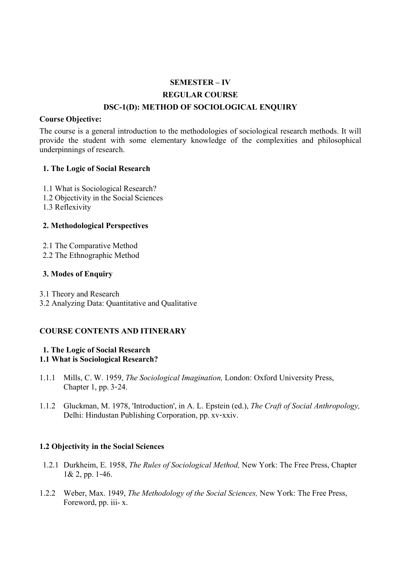# SEMESTER – IV REGULAR COURSE DSC-1(D): METHOD OF SOCIOLOGICAL ENQUIRY

#### Course Objective:

The course is a general introduction to the methodologies of sociological research methods. It will provide the student with some elementary knowledge of the complexities and philosophical underpinnings of research.

#### 1. The Logic of Social Research

- 1.1 What is Sociological Research?
- 1.2 Objectivity in the Social Sciences
- 1.3 Reflexivity

### 2. Methodological Perspectives

- 2.1 The Comparative Method
- 2.2 The Ethnographic Method

### 3. Modes of Enquiry

- 3.1 Theory and Research
- 3.2 Analyzing Data: Quantitative and Qualitative

### COURSE CONTENTS AND ITINERARY

#### 1. The Logic of Social Research 1.1 What is Sociological Research?

- 1.1.1 Mills, C. W. 1959, The Sociological Imagination, London: Oxford University Press, Chapter 1, pp. 3‐24.
- 1.1.2 Gluckman, M. 1978, 'Introduction', in A. L. Epstein (ed.), The Craft of Social Anthropology, Delhi: Hindustan Publishing Corporation, pp. xv‐xxiv.

### 1.2 Objectivity in the Social Sciences

- 1.2.1 Durkheim, E. 1958, The Rules of Sociological Method, New York: The Free Press, Chapter 1& 2, pp. 1‐46.
- 1.2.2 Weber, Max. 1949, The Methodology of the Social Sciences, New York: The Free Press, Foreword, pp. iii- x.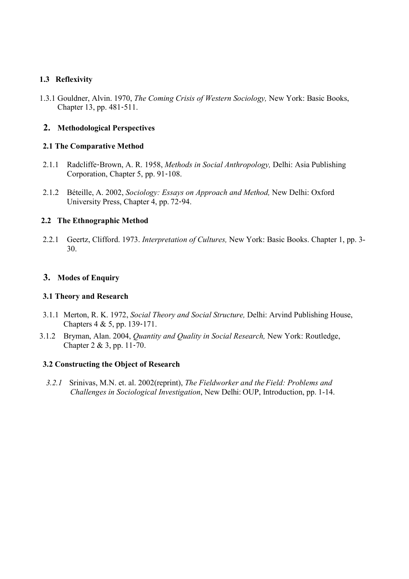### 1.3 Reflexivity

1.3.1 Gouldner, Alvin. 1970, The Coming Crisis of Western Sociology, New York: Basic Books, Chapter 13, pp. 481‐511.

### 2. Methodological Perspectives

#### 2.1 The Comparative Method

- 2.1.1 Radcliffe-Brown, A. R. 1958, Methods in Social Anthropology, Delhi: Asia Publishing Corporation, Chapter 5, pp. 91‐108.
- 2.1.2 Béteille, A. 2002, Sociology: Essays on Approach and Method, New Delhi: Oxford University Press, Chapter 4, pp. 72‐94.

#### 2.2 The Ethnographic Method

2.2.1 Geertz, Clifford. 1973. Interpretation of Cultures, New York: Basic Books. Chapter 1, pp. 3- 30.

### 3. Modes of Enquiry

#### 3.1 Theory and Research

- 3.1.1 Merton, R. K. 1972, Social Theory and Social Structure, Delhi: Arvind Publishing House, Chapters 4 & 5, pp. 139‐171.
- 3.1.2 Bryman, Alan. 2004, Quantity and Quality in Social Research, New York: Routledge, Chapter 2 & 3, pp. 11‐70.

#### 3.2 Constructing the Object of Research

3.2.1 Srinivas, M.N. et. al. 2002(reprint), The Fieldworker and the Field: Problems and Challenges in Sociological Investigation, New Delhi: OUP, Introduction, pp. 1-14.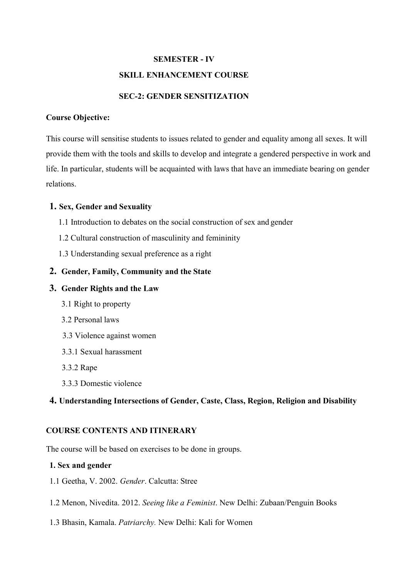# SEMESTER - IV SKILL ENHANCEMENT COURSE

## SEC-2: GENDER SENSITIZATION

#### Course Objective:

This course will sensitise students to issues related to gender and equality among all sexes. It will provide them with the tools and skills to develop and integrate a gendered perspective in work and life. In particular, students will be acquainted with laws that have an immediate bearing on gender relations.

### 1. Sex, Gender and Sexuality

- 1.1 Introduction to debates on the social construction of sex and gender
- 1.2 Cultural construction of masculinity and femininity
- 1.3 Understanding sexual preference as a right

### 2. Gender, Family, Community and the State

### 3. Gender Rights and the Law

- 3.1 Right to property
- 3.2 Personal laws
- 3.3 Violence against women
- 3.3.1 Sexual harassment
- 3.3.2 Rape
- 3.3.3 Domestic violence

### 4. Understanding Intersections of Gender, Caste, Class, Region, Religion and Disability

### COURSE CONTENTS AND ITINERARY

The course will be based on exercises to be done in groups.

#### 1. Sex and gender

- 1.1 Geetha, V. 2002. Gender. Calcutta: Stree
- 1.2 Menon, Nivedita. 2012. Seeing like a Feminist. New Delhi: Zubaan/Penguin Books
- 1.3 Bhasin, Kamala. Patriarchy. New Delhi: Kali for Women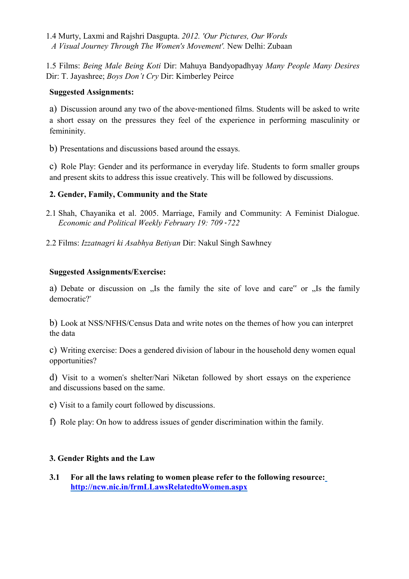1.4 Murty, Laxmi and Rajshri Dasgupta. 2012. 'Our Pictures, Our Words A Visual Journey Through The Women's Movement'. New Delhi: Zubaan

1.5 Films: Being Male Being Koti Dir: Mahuya Bandyopadhyay Many People Many Desires Dir: T. Jayashree; Boys Don't Cry Dir: Kimberley Peirce

### Suggested Assignments:

a) Discussion around any two of the above-mentioned films. Students will be asked to write a short essay on the pressures they feel of the experience in performing masculinity or femininity.

b) Presentations and discussions based around the essays.

c) Role Play: Gender and its performance in everyday life. Students to form smaller groups and present skits to address this issue creatively. This will be followed by discussions.

## 2. Gender, Family, Community and the State

- 2.1 Shah, Chayanika et al. 2005. Marriage, Family and Community: A Feminist Dialogue. Economic and Political Weekly February 19: 709 ‐722
- 2.2 Films: Izzatnagri ki Asabhya Betiyan Dir: Nakul Singh Sawhney

## Suggested Assignments/Exercise:

a) Debate or discussion on "Is the family the site of love and care" or "Is the family democratic?"

b) Look at NSS/NFHS/Census Data and write notes on the themes of how you can interpret the data

c) Writing exercise: Does a gendered division of labour in the household deny women equal opportunities?

d) Visit to a women"s shelter/Nari Niketan followed by short essays on the experience and discussions based on the same.

e) Visit to a family court followed by discussions.

f) Role play: On how to address issues of gender discrimination within the family.

### 3. Gender Rights and the Law

3.1 For all the laws relating to women please refer to the following resource: http://ncw.nic.in/frmLLawsRelatedtoWomen.aspx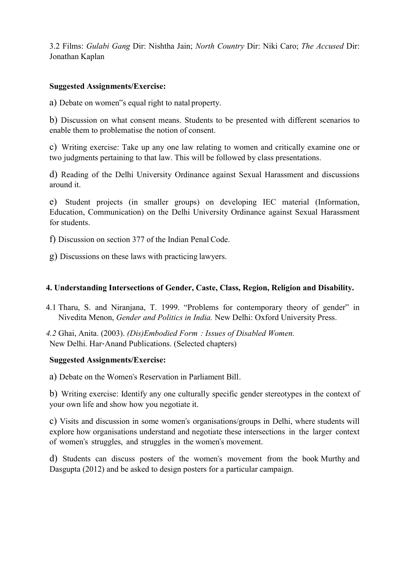3.2 Films: Gulabi Gang Dir: Nishtha Jain; North Country Dir: Niki Caro; The Accused Dir: Jonathan Kaplan

### Suggested Assignments/Exercise:

a) Debate on women"s equal right to natal property.

b) Discussion on what consent means. Students to be presented with different scenarios to enable them to problematise the notion of consent.

c) Writing exercise: Take up any one law relating to women and critically examine one or two judgments pertaining to that law. This will be followed by class presentations.

d) Reading of the Delhi University Ordinance against Sexual Harassment and discussions around it.

e) Student projects (in smaller groups) on developing IEC material (Information, Education, Communication) on the Delhi University Ordinance against Sexual Harassment for students.

f) Discussion on section 377 of the Indian Penal Code.

g) Discussions on these laws with practicing lawyers.

### 4. Understanding Intersections of Gender, Caste, Class, Region, Religion and Disability.

4.1 Tharu, S. and Niranjana, T. 1999. "Problems for contemporary theory of gender" in Nivedita Menon, Gender and Politics in India. New Delhi: Oxford University Press.

4.2 Ghai, Anita. (2003). (Dis)Embodied Form : Issues of Disabled Women. New Delhi. Har‐Anand Publications. (Selected chapters)

### Suggested Assignments/Exercise:

a) Debate on the Women"s Reservation in Parliament Bill.

b) Writing exercise: Identify any one culturally specific gender stereotypes in the context of your own life and show how you negotiate it.

c) Visits and discussion in some women"s organisations/groups in Delhi, where students will explore how organisations understand and negotiate these intersections in the larger context of women"s struggles, and struggles in the women"s movement.

d) Students can discuss posters of the women"s movement from the book Murthy and Dasgupta (2012) and be asked to design posters for a particular campaign.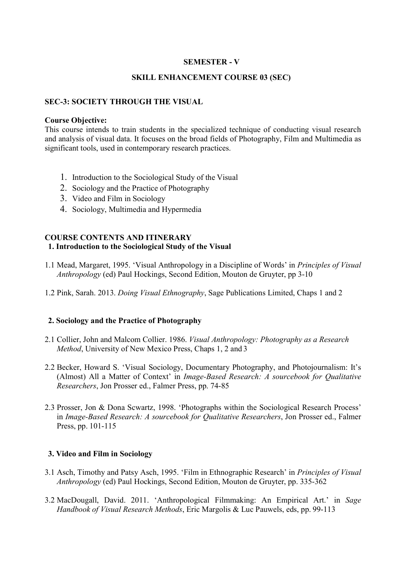#### SEMESTER - V

#### SKILL ENHANCEMENT COURSE 03 (SEC)

#### SEC-3: SOCIETY THROUGH THE VISUAL

#### Course Objective:

This course intends to train students in the specialized technique of conducting visual research and analysis of visual data. It focuses on the broad fields of Photography, Film and Multimedia as significant tools, used in contemporary research practices.

- 1. Introduction to the Sociological Study of the Visual
- 2. Sociology and the Practice of Photography
- 3. Video and Film in Sociology
- 4. Sociology, Multimedia and Hypermedia

#### COURSE CONTENTS AND ITINERARY 1. Introduction to the Sociological Study of the Visual

- 1.1 Mead, Margaret, 1995. 'Visual Anthropology in a Discipline of Words' in Principles of Visual Anthropology (ed) Paul Hockings, Second Edition, Mouton de Gruyter, pp 3-10
- 1.2 Pink, Sarah. 2013. Doing Visual Ethnography, Sage Publications Limited, Chaps 1 and 2

#### 2. Sociology and the Practice of Photography

- 2.1 Collier, John and Malcom Collier. 1986. Visual Anthropology: Photography as a Research Method, University of New Mexico Press, Chaps 1, 2 and 3
- 2.2 Becker, Howard S. 'Visual Sociology, Documentary Photography, and Photojournalism: It's (Almost) All a Matter of Context' in Image-Based Research: A sourcebook for Qualitative Researchers, Jon Prosser ed., Falmer Press, pp. 74-85
- 2.3 Prosser, Jon & Dona Scwartz, 1998. 'Photographs within the Sociological Research Process' in Image-Based Research: A sourcebook for Qualitative Researchers, Jon Prosser ed., Falmer Press, pp. 101-115

#### 3. Video and Film in Sociology

- 3.1 Asch, Timothy and Patsy Asch, 1995. 'Film in Ethnographic Research' in Principles of Visual Anthropology (ed) Paul Hockings, Second Edition, Mouton de Gruyter, pp. 335-362
- 3.2 MacDougall, David. 2011. 'Anthropological Filmmaking: An Empirical Art.' in Sage Handbook of Visual Research Methods, Eric Margolis & Luc Pauwels, eds, pp. 99-113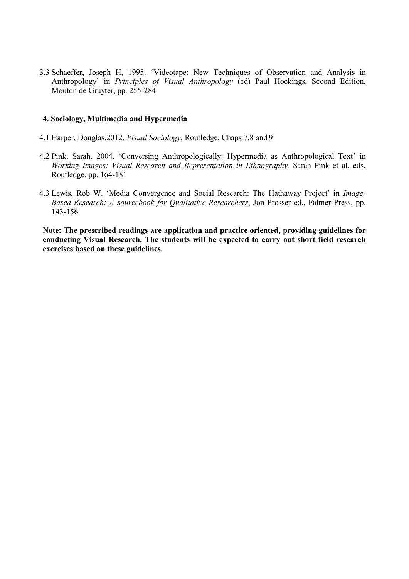3.3 Schaeffer, Joseph H, 1995. 'Videotape: New Techniques of Observation and Analysis in Anthropology' in Principles of Visual Anthropology (ed) Paul Hockings, Second Edition, Mouton de Gruyter, pp. 255-284

#### 4. Sociology, Multimedia and Hypermedia

- 4.1 Harper, Douglas.2012. Visual Sociology, Routledge, Chaps 7,8 and 9
- 4.2 Pink, Sarah. 2004. 'Conversing Anthropologically: Hypermedia as Anthropological Text' in Working Images: Visual Research and Representation in Ethnography, Sarah Pink et al. eds, Routledge, pp. 164-181
- 4.3 Lewis, Rob W. 'Media Convergence and Social Research: The Hathaway Project' in Image-Based Research: A sourcebook for Qualitative Researchers, Jon Prosser ed., Falmer Press, pp. 143-156

Note: The prescribed readings are application and practice oriented, providing guidelines for conducting Visual Research. The students will be expected to carry out short field research exercises based on these guidelines.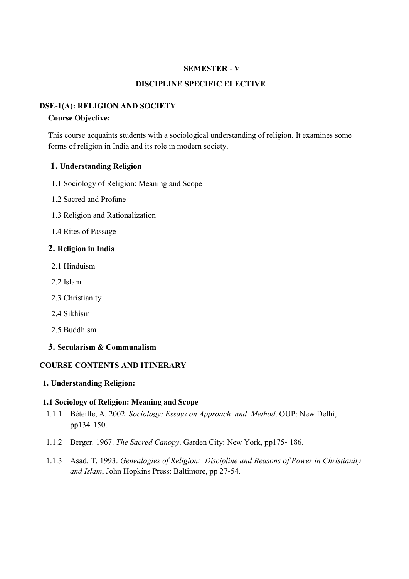#### SEMESTER - V

### DISCIPLINE SPECIFIC ELECTIVE

### DSE-1(A): RELIGION AND SOCIETY

#### Course Objective:

This course acquaints students with a sociological understanding of religion. It examines some forms of religion in India and its role in modern society.

#### 1. Understanding Religion

- 1.1 Sociology of Religion: Meaning and Scope
- 1.2 Sacred and Profane
- 1.3 Religion and Rationalization
- 1.4 Rites of Passage

#### 2. Religion in India

- 2.1 Hinduism
- 2.2 Islam
- 2.3 Christianity
- 2.4 Sikhism
- 2.5 Buddhism
- 3. Secularism & Communalism

#### COURSE CONTENTS AND ITINERARY

#### 1. Understanding Religion:

#### 1.1 Sociology of Religion: Meaning and Scope

- 1.1.1 Béteille, A. 2002. Sociology: Essays on Approach and Method. OUP: New Delhi, pp134‐150.
- 1.1.2 Berger. 1967. The Sacred Canopy. Garden City: New York, pp175‐ 186.
- 1.1.3 Asad. T. 1993. Genealogies of Religion: Discipline and Reasons of Power in Christianity and Islam, John Hopkins Press: Baltimore, pp 27‐54.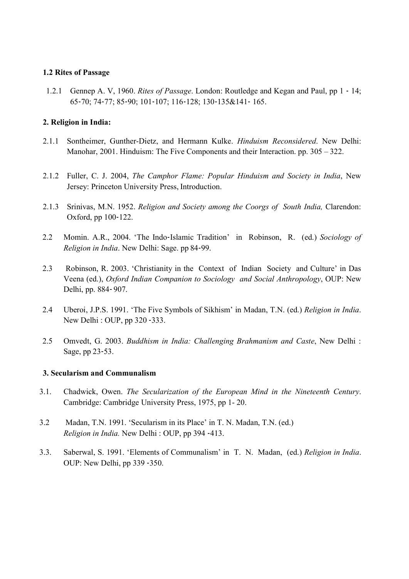#### 1.2 Rites of Passage

1.2.1 Gennep A. V, 1960. Rites of Passage. London: Routledge and Kegan and Paul, pp 1 - 14; 65‐70; 74‐77; 85‐90; 101‐107; 116‐128; 130‐135&141‐ 165.

#### 2. Religion in India:

- 2.1.1 Sontheimer, Gunther-Dietz, and Hermann Kulke. Hinduism Reconsidered. New Delhi: Manohar, 2001. Hinduism: The Five Components and their Interaction. pp. 305 – 322.
- 2.1.2 Fuller, C. J. 2004, The Camphor Flame: Popular Hinduism and Society in India, New Jersey: Princeton University Press, Introduction.
- 2.1.3 Srinivas, M.N. 1952. Religion and Society among the Coorgs of South India, Clarendon: Oxford, pp 100‐122.
- 2.2 Momin. A.R., 2004. 'The Indo-Islamic Tradition' in Robinson, R. (ed.) Sociology of Religion in India. New Delhi: Sage. pp 84‐99.
- 2.3 Robinson, R. 2003. 'Christianity in the Context of Indian Society and Culture' in Das Veena (ed.), Oxford Indian Companion to Sociology and Social Anthropology, OUP: New Delhi, pp. 884‐ 907.
- 2.4 Uberoi, J.P.S. 1991. 'The Five Symbols of Sikhism' in Madan, T.N. (ed.) Religion in India. New Delhi : OUP, pp 320 ‐333.
- 2.5 Omvedt, G. 2003. Buddhism in India: Challenging Brahmanism and Caste, New Delhi : Sage, pp 23‐53.

#### 3. Secularism and Communalism

- 3.1. Chadwick, Owen. The Secularization of the European Mind in the Nineteenth Century. Cambridge: Cambridge University Press, 1975, pp 1- 20.
- 3.2 Madan, T.N. 1991. 'Secularism in its Place' in T. N. Madan, T.N. (ed.) Religion in India. New Delhi : OUP, pp 394 ‐413.
- 3.3. Saberwal, S. 1991. 'Elements of Communalism' in T. N. Madan, (ed.) Religion in India. OUP: New Delhi, pp 339 ‐350.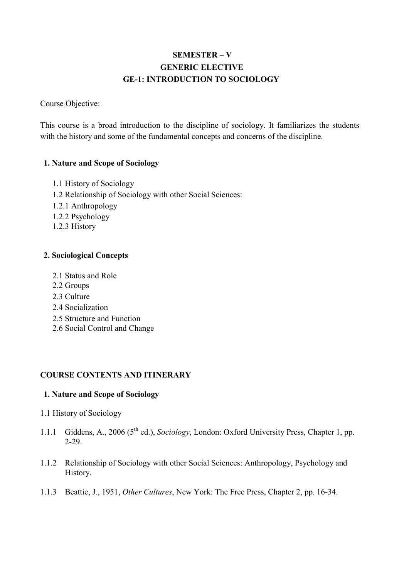# SEMESTER – V GENERIC ELECTIVE GE-1: INTRODUCTION TO SOCIOLOGY

Course Objective:

This course is a broad introduction to the discipline of sociology. It familiarizes the students with the history and some of the fundamental concepts and concerns of the discipline.

## 1. Nature and Scope of Sociology

- 1.1 History of Sociology
- 1.2 Relationship of Sociology with other Social Sciences:
- 1.2.1 Anthropology
- 1.2.2 Psychology
- 1.2.3 History

## 2. Sociological Concepts

- 2.1 Status and Role
- 2.2 Groups
- 2.3 Culture
- 2.4 Socialization
- 2.5 Structure and Function
- 2.6 Social Control and Change

## COURSE CONTENTS AND ITINERARY

### 1. Nature and Scope of Sociology

- 1.1 History of Sociology
- 1.1.1 Giddens, A., 2006 (5<sup>th</sup> ed.), Sociology, London: Oxford University Press, Chapter 1, pp. 2-29.
- 1.1.2 Relationship of Sociology with other Social Sciences: Anthropology, Psychology and History.
- 1.1.3 Beattie, J., 1951, Other Cultures, New York: The Free Press, Chapter 2, pp. 16-34.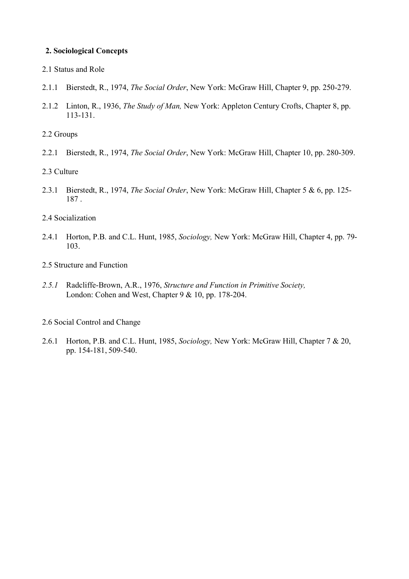#### 2. Sociological Concepts

- 2.1 Status and Role
- 2.1.1 Bierstedt, R., 1974, The Social Order, New York: McGraw Hill, Chapter 9, pp. 250-279.
- 2.1.2 Linton, R., 1936, The Study of Man, New York: Appleton Century Crofts, Chapter 8, pp. 113-131.
- 2.2 Groups
- 2.2.1 Bierstedt, R., 1974, The Social Order, New York: McGraw Hill, Chapter 10, pp. 280-309.
- 2.3 Culture
- 2.3.1 Bierstedt, R., 1974, The Social Order, New York: McGraw Hill, Chapter 5 & 6, pp. 125-187 .
- 2.4 Socialization
- 2.4.1 Horton, P.B. and C.L. Hunt, 1985, Sociology, New York: McGraw Hill, Chapter 4, pp. 79-103.
- 2.5 Structure and Function
- 2.5.1 Radcliffe-Brown, A.R., 1976, Structure and Function in Primitive Society, London: Cohen and West, Chapter 9 & 10, pp. 178-204.
- 2.6 Social Control and Change
- 2.6.1 Horton, P.B. and C.L. Hunt, 1985, Sociology, New York: McGraw Hill, Chapter 7 & 20, pp. 154-181, 509-540.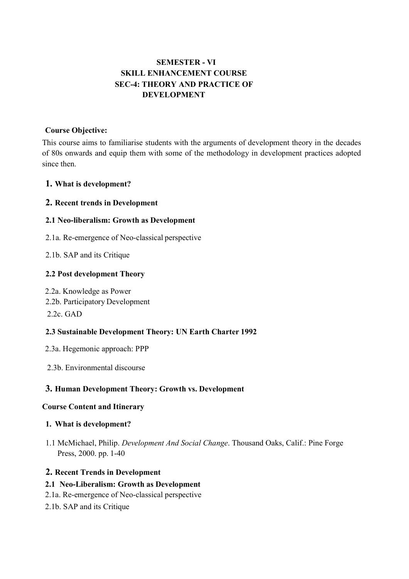## SEMESTER - VI SKILL ENHANCEMENT COURSE SEC-4: THEORY AND PRACTICE OF DEVELOPMENT

#### Course Objective:

This course aims to familiarise students with the arguments of development theory in the decades of 80s onwards and equip them with some of the methodology in development practices adopted since then.

### 1. What is development?

### 2. Recent trends in Development

### 2.1 Neo-liberalism: Growth as Development

- 2.1a. Re-emergence of Neo-classical perspective
- 2.1b. SAP and its Critique

### 2.2 Post development Theory

2.2a. Knowledge as Power

2.2b. Participatory Development

 $2.2c$ . GAD

### 2.3 Sustainable Development Theory: UN Earth Charter 1992

- 2.3a. Hegemonic approach: PPP
- 2.3b. Environmental discourse

### 3. Human Development Theory: Growth vs. Development

#### Course Content and Itinerary

#### 1. What is development?

1.1 McMichael, Philip. Development And Social Change. Thousand Oaks, Calif.: Pine Forge Press, 2000. pp. 1-40

### 2. Recent Trends in Development

#### 2.1 Neo-Liberalism: Growth as Development

- 2.1a. Re-emergence of Neo-classical perspective
- 2.1b. SAP and its Critique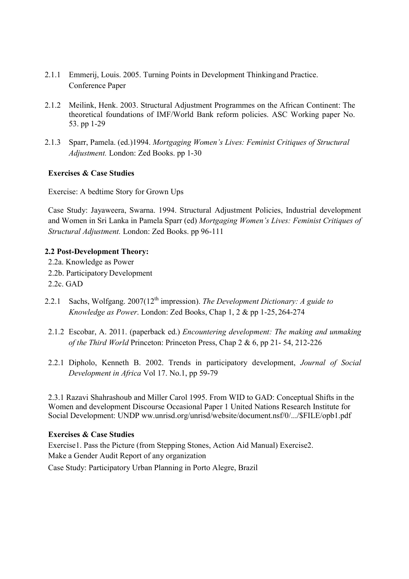- 2.1.1 Emmerij, Louis. 2005. Turning Points in Development Thinking and Practice. Conference Paper
- 2.1.2 Meilink, Henk. 2003. Structural Adjustment Programmes on the African Continent: The theoretical foundations of IMF/World Bank reform policies. ASC Working paper No. 53. pp 1-29
- 2.1.3 Sparr, Pamela. (ed.)1994. Mortgaging Women's Lives: Feminist Critiques of Structural Adjustment. London: Zed Books. pp 1-30

### Exercises & Case Studies

Exercise: A bedtime Story for Grown Ups

Case Study: Jayaweera, Swarna. 1994. Structural Adjustment Policies, Industrial development and Women in Sri Lanka in Pamela Sparr (ed) Mortgaging Women's Lives: Feminist Critiques of Structural Adjustment. London: Zed Books. pp 96-111

#### 2.2 Post-Development Theory:

- 2.2a. Knowledge as Power 2.2b. Participatory Development 2.2c. GAD
- 2.2.1 Sachs, Wolfgang.  $2007(12^{th}$  impression). The Development Dictionary: A guide to Knowledge as Power. London: Zed Books, Chap 1, 2 & pp 1-25, 264-274
- 2.1.2 Escobar, A. 2011. (paperback ed.) Encountering development: The making and unmaking of the Third World Princeton: Princeton Press, Chap 2 & 6, pp 21- 54, 212-226
- 2.2.1 Dipholo, Kenneth B. 2002. Trends in participatory development, Journal of Social Development in Africa Vol 17. No.1, pp 59-79

2.3.1 Razavi Shahrashoub and Miller Carol 1995. From WID to GAD: Conceptual Shifts in the Women and development Discourse Occasional Paper 1 United Nations Research Institute for Social Development: UNDP ww.unrisd.org/unrisd/website/document.nsf/0/.../\$FILE/opb1.pdf

#### Exercises & Case Studies

Exercise1. Pass the Picture (from Stepping Stones, Action Aid Manual) Exercise2. Make a Gender Audit Report of any organization

Case Study: Participatory Urban Planning in Porto Alegre, Brazil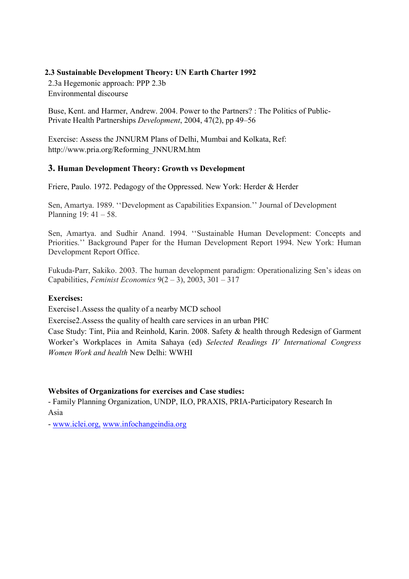### 2.3 Sustainable Development Theory: UN Earth Charter 1992

2.3a Hegemonic approach: PPP 2.3b Environmental discourse

Buse, Kent. and Harmer, Andrew. 2004. Power to the Partners? : The Politics of Public-Private Health Partnerships Development, 2004, 47(2), pp 49–56

Exercise: Assess the JNNURM Plans of Delhi, Mumbai and Kolkata, Ref: http://www.pria.org/Reforming\_JNNURM.htm

### 3. Human Development Theory: Growth vs Development

Friere, Paulo. 1972. Pedagogy of the Oppressed. New York: Herder & Herder

Sen, Amartya. 1989. ''Development as Capabilities Expansion.'' Journal of Development Planning 19: 41 – 58.

Sen, Amartya. and Sudhir Anand. 1994. ''Sustainable Human Development: Concepts and Priorities.'' Background Paper for the Human Development Report 1994. New York: Human Development Report Office.

Fukuda-Parr, Sakiko. 2003. The human development paradigm: Operationalizing Sen's ideas on Capabilities, Feminist Economics  $9(2-3)$ , 2003, 301 – 317

#### Exercises:

Exercise1.Assess the quality of a nearby MCD school

Exercise2.Assess the quality of health care services in an urban PHC

Case Study: Tint, Piia and Reinhold, Karin. 2008. Safety & health through Redesign of Garment Worker's Workplaces in Amita Sahaya (ed) Selected Readings IV International Congress Women Work and health New Delhi: WWHI

### Websites of Organizations for exercises and Case studies:

- Family Planning Organization, UNDP, ILO, PRAXIS, PRIA-Participatory Research In Asia

- www.iclei.org, www.infochangeindia.org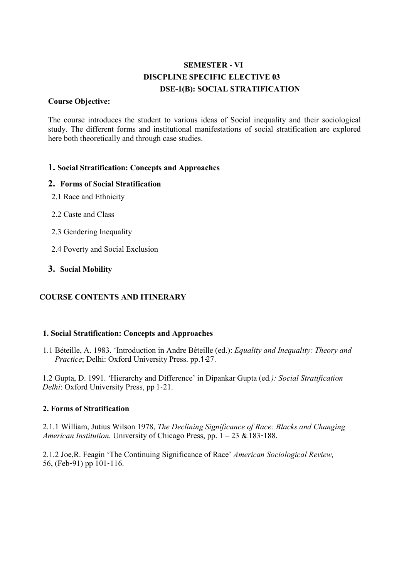# SEMESTER - VI DISCPLINE SPECIFIC ELECTIVE 03 DSE-1(B): SOCIAL STRATIFICATION

#### Course Objective:

The course introduces the student to various ideas of Social inequality and their sociological study. The different forms and institutional manifestations of social stratification are explored here both theoretically and through case studies.

### 1. Social Stratification: Concepts and Approaches

### 2. Forms of Social Stratification

- 2.1 Race and Ethnicity
- 2.2 Caste and Class
- 2.3 Gendering Inequality
- 2.4 Poverty and Social Exclusion

### 3. Social Mobility

### COURSE CONTENTS AND ITINERARY

#### 1. Social Stratification: Concepts and Approaches

1.1 Béteille, A. 1983. 'Introduction in Andre Béteille (ed.): Equality and Inequality: Theory and Practice; Delhi: Oxford University Press. pp.1-27.

1.2 Gupta, D. 1991. 'Hierarchy and Difference' in Dipankar Gupta (ed.): Social Stratification Delhi: Oxford University Press, pp 1‐21.

#### 2. Forms of Stratification

2.1.1 William, Jutius Wilson 1978, The Declining Significance of Race: Blacks and Changing American Institution. University of Chicago Press, pp.  $1 - 23 \& 183 - 188$ .

2.1.2 Joe,R. Feagin 'The Continuing Significance of Race' American Sociological Review, 56, (Feb‐91) pp 101‐116.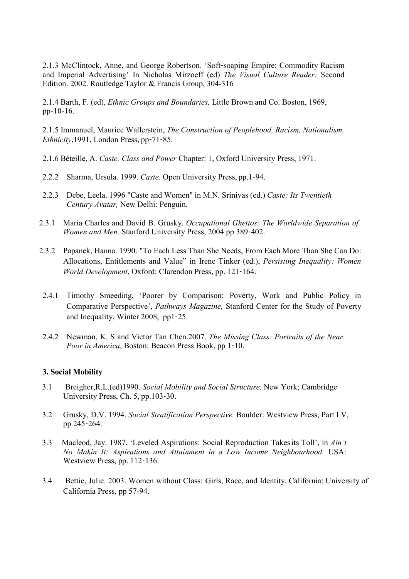2.1.3 McClintock, Anne, and George Robertson. 'Soft‐soaping Empire: Commodity Racism and Imperial Advertising' In Nicholas Mirzoeff (ed) The Visual Culture Reader: Second Edition. 2002. Routledge Taylor & Francis Group, 304-316

2.1.4 Barth, F. (ed), Ethnic Groups and Boundaries, Little Brown and Co. Boston, 1969, pp‐10‐16.

2.1.5 Immanuel, Maurice Wallerstein, The Construction of Peoplehood, Racism, Nationalism, Ethnicity,1991, London Press, pp‐71‐85.

- 2.1.6 Béteille, A. Caste, Class and Power Chapter: 1, Oxford University Press, 1971.
- 2.2.2 Sharma, Ursula. 1999. Caste. Open University Press, pp.1‐94.
- 2.2.3 Debe, Leela. 1996 "Caste and Women" in M.N. Srinivas (ed.) Caste: Its Twentieth Century Avatar, New Delhi: Penguin.
- 2.3.1 Maria Charles and David B. Grusky. Occupational Ghettos: The Worldwide Separation of Women and Men, Stanford University Press, 2004 pp 389-402.
- 2.3.2 Papanek, Hanna. 1990. "To Each Less Than She Needs, From Each More Than She Can Do: Allocations, Entitlements and Value" in Irene Tinker (ed.), Persisting Inequality: Women World Development, Oxford: Clarendon Press, pp. 121‐164.
- 2.4.1 Timothy Smeeding, 'Poorer by Comparison; Poverty, Work and Public Policy in Comparative Perspective', Pathways Magazine, Stanford Center for the Study of Poverty and Inequality, Winter 2008, pp1‐25.
- 2.4.2 Newman, K. S and Victor Tan Chen.2007. The Missing Class: Portraits of the Near Poor in America, Boston: Beacon Press Book, pp 1‐10.

#### 3. Social Mobility

- 3.1 Breigher,R.L.(ed)1990. Social Mobility and Social Structure. New York; Cambridge University Press, Ch. 5, pp.103‐30.
- 3.2 Grusky, D.V. 1994. Social Stratification Perspective. Boulder: Westview Press, Part I V, pp 245‐264.
- 3.3 Macleod, Jay. 1987. 'Leveled Aspirations: Social Reproduction Takes its Toll', in Ain't No Makin It: Aspirations and Attainment in a Low Income Neighbourhood. USA: Westview Press, pp. 112‐136.
- 3.4 Bettie, Julie. 2003. Women without Class: Girls, Race, and Identity. California: University of California Press, pp 57-94.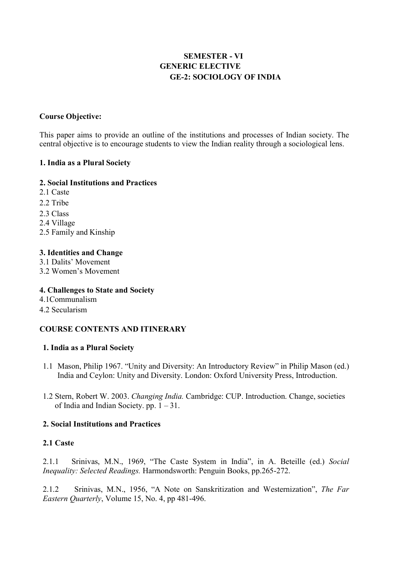## SEMESTER - VI GENERIC ELECTIVE GE-2: SOCIOLOGY OF INDIA

### Course Objective:

This paper aims to provide an outline of the institutions and processes of Indian society. The central objective is to encourage students to view the Indian reality through a sociological lens.

#### 1. India as a Plural Society

#### 2. Social Institutions and Practices

- 2.1 Caste
- 2.2 Tribe
- 2.3 Class
- 2.4 Village
- 2.5 Family and Kinship

#### 3. Identities and Change

- 3.1 Dalits' Movement
- 3.2 Women's Movement

### 4. Challenges to State and Society

4.1Communalism

#### 4.2 Secularism

### COURSE CONTENTS AND ITINERARY

#### 1. India as a Plural Society

- 1.1 Mason, Philip 1967. "Unity and Diversity: An Introductory Review" in Philip Mason (ed.) India and Ceylon: Unity and Diversity. London: Oxford University Press, Introduction.
- 1.2 Stern, Robert W. 2003. Changing India. Cambridge: CUP. Introduction. Change, societies of India and Indian Society. pp.  $1 - 31$ .

#### 2. Social Institutions and Practices

#### 2.1 Caste

2.1.1 Srinivas, M.N., 1969, "The Caste System in India", in A. Beteille (ed.) Social Inequality: Selected Readings. Harmondsworth: Penguin Books, pp.265-272.

2.1.2 Srinivas, M.N., 1956, "A Note on Sanskritization and Westernization", The Far Eastern Quarterly, Volume 15, No. 4, pp 481-496.